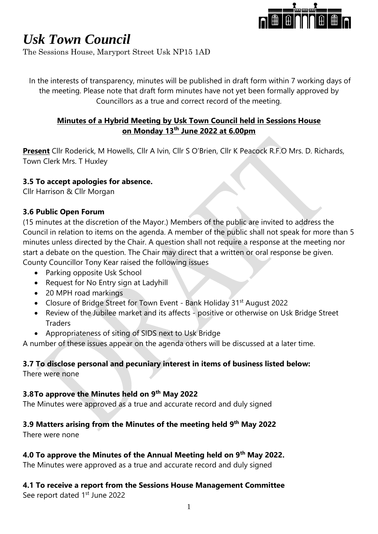

The Sessions House, Maryport Street Usk NP15 1AD

In the interests of transparency, minutes will be published in draft form within 7 working days of the meeting. Please note that draft form minutes have not yet been formally approved by Councillors as a true and correct record of the meeting.

## **Minutes of a Hybrid Meeting by Usk Town Council held in Sessions House on Monday 13th June 2022 at 6.00pm**

**Present** Cllr Roderick, M Howells, Cllr A Ivin, Cllr S O'Brien, Cllr K Peacock R.F.O Mrs. D. Richards, Town Clerk Mrs. T Huxley

### **3.5 To accept apologies for absence.**

Cllr Harrison & Cllr Morgan

### **3.6 Public Open Forum**

(15 minutes at the discretion of the Mayor.) Members of the public are invited to address the Council in relation to items on the agenda. A member of the public shall not speak for more than 5 minutes unless directed by the Chair. A question shall not require a response at the meeting nor start a debate on the question. The Chair may direct that a written or oral response be given. County Councillor Tony Kear raised the following issues

- Parking opposite Usk School
- Request for No Entry sign at Ladyhill
- 20 MPH road markings
- Closure of Bridge Street for Town Event Bank Holiday 31<sup>st</sup> August 2022
- Review of the Jubilee market and its affects positive or otherwise on Usk Bridge Street Traders
- Appropriateness of siting of SIDS next to Usk Bridge

A number of these issues appear on the agenda others will be discussed at a later time.

### **3.7 To disclose personal and pecuniary interest in items of business listed below:**

There were none

### **3.8To approve the Minutes held on 9 th May 2022**

The Minutes were approved as a true and accurate record and duly signed

### **3.9 Matters arising from the Minutes of the meeting held 9 th May 2022**

There were none

### **4.0 To approve the Minutes of the Annual Meeting held on 9th May 2022.**

The Minutes were approved as a true and accurate record and duly signed

#### **4.1 To receive a report from the Sessions House Management Committee** See report dated 1<sup>st</sup> June 2022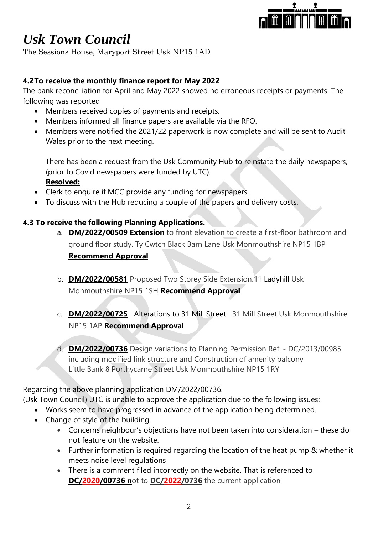

The Sessions House, Maryport Street Usk NP15 1AD

## **4.2To receive the monthly finance report for May 2022**

The bank reconciliation for April and May 2022 showed no erroneous receipts or payments. The following was reported

- Members received copies of payments and receipts.
- Members informed all finance papers are available via the RFO.
- Members were notified the 2021/22 paperwork is now complete and will be sent to Audit Wales prior to the next meeting.

There has been a request from the Usk Community Hub to reinstate the daily newspapers, (prior to Covid newspapers were funded by UTC). **Resolved:**

- Clerk to enquire if MCC provide any funding for newspapers.
- To discuss with the Hub reducing a couple of the papers and delivery costs.

## **4.3 To receive the following Planning Applications.**

- a. **DM/2022/00509 Extension** to front elevation to create a first-floor bathroom and ground floor study. Ty Cwtch Black Barn Lane Usk Monmouthshire NP15 1BP **Recommend Approval**
- b. **DM/2022/00581** Proposed Two Storey Side Extension.11 Ladyhill Usk Monmouthshire NP15 1SH **Recommend Approval**
- c. **DM/2022/00725** Alterations to 31 Mill Street31 Mill Street Usk Monmouthshire NP15 1AP **Recommend Approval**
- d. **DM/2022/00736** Design variations to Planning Permission Ref: DC/2013/00985 including modified link structure and Construction of amenity balcony Little Bank 8 Porthycarne Street Usk Monmouthshire NP15 1RY

Regarding the above planning application DM/2022/00736.

- (Usk Town Council) UTC is unable to approve the application due to the following issues:
	- Works seem to have progressed in advance of the application being determined.
	- Change of style of the building.
		- Concerns neighbour's objections have not been taken into consideration these do not feature on the website.
		- Further information is required regarding the location of the heat pump & whether it meets noise level regulations
		- There is a comment filed incorrectly on the website. That is referenced to **DC/2020/00736 n**ot to **DC/2022/0736** the current application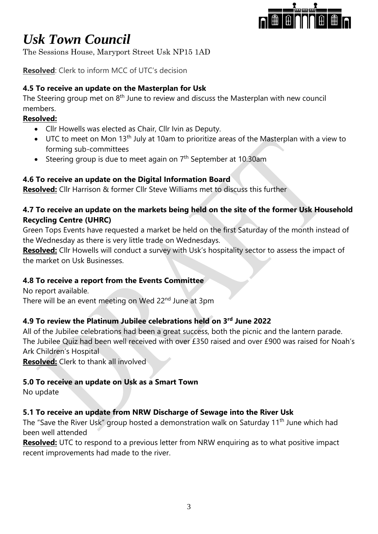

The Sessions House, Maryport Street Usk NP15 1AD

**Resolved**: Clerk to inform MCC of UTC's decision

## **4.5 To receive an update on the Masterplan for Usk**

The Steering group met on  $8<sup>th</sup>$  June to review and discuss the Masterplan with new council members.

### **Resolved:**

- Cllr Howells was elected as Chair, Cllr Ivin as Deputy.
- UTC to meet on Mon 13<sup>th</sup> July at 10am to prioritize areas of the Masterplan with a view to forming sub-committees
- Steering group is due to meet again on  $7<sup>th</sup>$  September at 10.30am

## **4.6 To receive an update on the Digital Information Board**

**Resolved:** Cllr Harrison & former Cllr Steve Williams met to discuss this further

### **4.7 To receive an update on the markets being held on the site of the former Usk Household Recycling Centre (UHRC)**

Green Tops Events have requested a market be held on the first Saturday of the month instead of the Wednesday as there is very little trade on Wednesdays.

**Resolved:** Cllr Howells will conduct a survey with Usk's hospitality sector to assess the impact of the market on Usk Businesses.

## **4.8 To receive a report from the Events Committee**

No report available. There will be an event meeting on Wed 22<sup>nd</sup> June at 3pm

## **4.9 To review the Platinum Jubilee celebrations held on 3rd June 2022**

All of the Jubilee celebrations had been a great success, both the picnic and the lantern parade. The Jubilee Quiz had been well received with over £350 raised and over £900 was raised for Noah's Ark Children's Hospital

**Resolved:** Clerk to thank all involved

### **5.0 To receive an update on Usk as a Smart Town**

No update

### **5.1 To receive an update from NRW Discharge of Sewage into the River Usk**

The "Save the River Usk" group hosted a demonstration walk on Saturday 11<sup>th</sup> June which had been well attended

**Resolved:** UTC to respond to a previous letter from NRW enquiring as to what positive impact recent improvements had made to the river.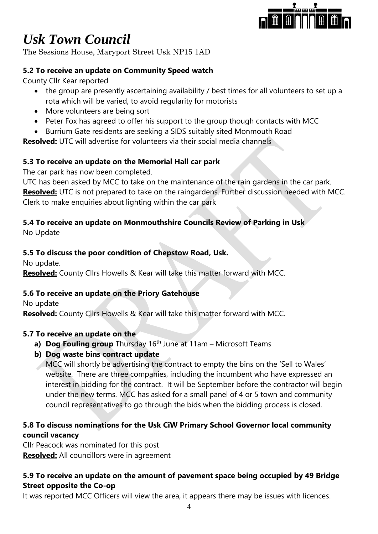

The Sessions House, Maryport Street Usk NP15 1AD

## **5.2 To receive an update on Community Speed watch**

County Cllr Kear reported

- the group are presently ascertaining availability / best times for all volunteers to set up a rota which will be varied, to avoid regularity for motorists
- More volunteers are being sort
- Peter Fox has agreed to offer his support to the group though contacts with MCC
- Burrium Gate residents are seeking a SIDS suitably sited Monmouth Road

**Resolved:** UTC will advertise for volunteers via their social media channels

## **5.3 To receive an update on the Memorial Hall car park**

The car park has now been completed.

UTC has been asked by MCC to take on the maintenance of the rain gardens in the car park. **Resolved:** UTC is not prepared to take on the raingardens. Further discussion needed with MCC. Clerk to make enquiries about lighting within the car park

## **5.4 To receive an update on Monmouthshire Councils Review of Parking in Usk**

No Update

## **5.5 To discuss the poor condition of Chepstow Road, Usk.**

No update.

**Resolved:** County Cllrs Howells & Kear will take this matter forward with MCC.

## **5.6 To receive an update on the Priory Gatehouse**

No update

**Resolved:** County Cllrs Howells & Kear will take this matter forward with MCC.

## **5.7 To receive an update on the**

- **a) Dog Fouling group** Thursday 16<sup>th</sup> June at 11am Microsoft Teams
- **b) Dog waste bins contract update**

MCC will shortly be advertising the contract to empty the bins on the 'Sell to Wales' website. There are three companies, including the incumbent who have expressed an interest in bidding for the contract. It will be September before the contractor will begin under the new terms. MCC has asked for a small panel of 4 or 5 town and community council representatives to go through the bids when the bidding process is closed.

## **5.8 To discuss nominations for the Usk CiW Primary School Governor local community council vacancy**

Cllr Peacock was nominated for this post **Resolved:** All councillors were in agreement

## **5.9 To receive an update on the amount of pavement space being occupied by 49 Bridge Street opposite the Co-op**

It was reported MCC Officers will view the area, it appears there may be issues with licences.